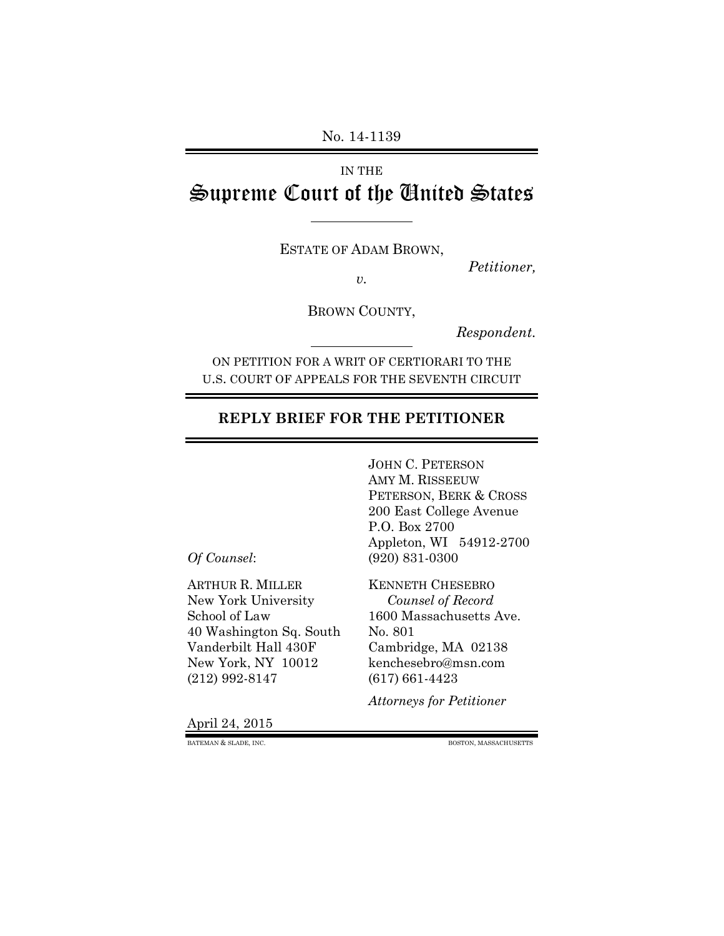#### No. 14-1139

# IN THE Supreme Court of the United States

ESTATE OF ADAM BROWN,

*Petitioner, v.*

BROWN COUNTY,

*Respondent.*

ON PETITION FOR A WRIT OF CERTIORARI TO THE U.S. COURT OF APPEALS FOR THE SEVENTH CIRCUIT

#### **REPLY BRIEF FOR THE PETITIONER**

JOHN C. PETERSON AMY M. RISSEEUW PETERSON, BERK & CROSS 200 East College Avenue P.O. Box 2700 Appleton, WI 54912-2700 *Of Counsel*: (920) 831-0300

ARTHUR R. MILLER KENNETH CHESEBRO New York University *Counsel of Record* 40 Washington Sq. South No. 801 Vanderbilt Hall 430F Cambridge, MA 02138 New York, NY 10012 kenchesebro@msn.com (212) 992-8147 (617) 661-4423

School of Law 1600 Massachusetts Ave.

*Attorneys for Petitioner*

April 24, 2015

BATEMAN & SLADE, INC. BOSTON, MASSACHUSETTS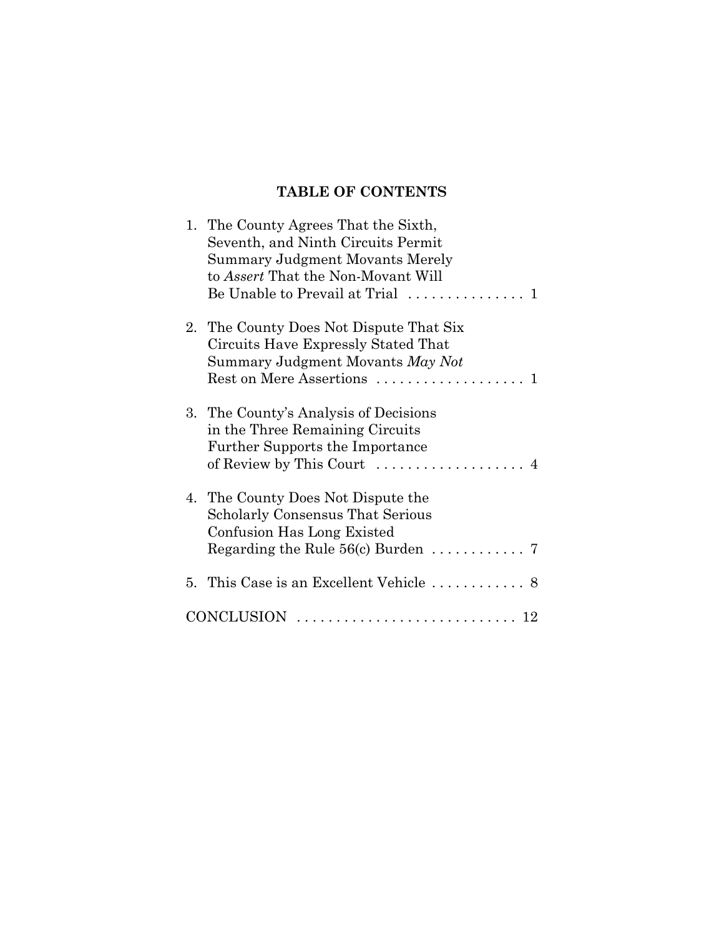## **TABLE OF CONTENTS**

| 1. The County Agrees That the Sixth,<br>Seventh, and Ninth Circuits Permit<br>Summary Judgment Movants Merely<br>to <i>Assert</i> That the Non-Movant Will<br>Be Unable to Prevail at Trial<br>$\mathbf{1}$ |
|-------------------------------------------------------------------------------------------------------------------------------------------------------------------------------------------------------------|
| 2. The County Does Not Dispute That Six<br>Circuits Have Expressly Stated That<br>Summary Judgment Movants May Not<br>Rest on Mere Assertions<br>1                                                          |
| 3. The County's Analysis of Decisions<br>in the Three Remaining Circuits<br><b>Further Supports the Importance</b><br>of Review by This Court<br>4                                                          |
| 4. The County Does Not Dispute the<br><b>Scholarly Consensus That Serious</b><br>Confusion Has Long Existed                                                                                                 |
|                                                                                                                                                                                                             |
| CONCLUSION                                                                                                                                                                                                  |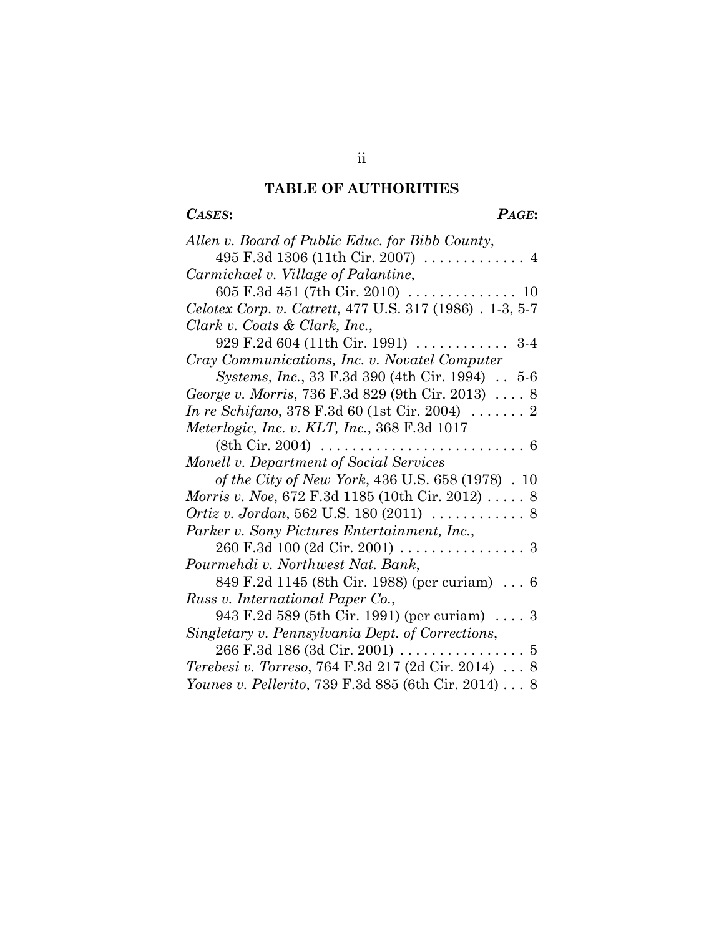## **TABLE OF AUTHORITIES**

## *CASES***:** *PAGE***:**

| Allen v. Board of Public Educ. for Bibb County,                       |
|-----------------------------------------------------------------------|
| 495 F.3d 1306 (11th Cir. 2007)  4                                     |
| Carmichael v. Village of Palantine,                                   |
| 605 F.3d 451 (7th Cir. 2010) $\ldots \ldots \ldots \ldots \ldots$ 10  |
| Celotex Corp. v. Catrett, 477 U.S. 317 (1986). 1-3, 5-7               |
| Clark v. Coats & Clark, Inc.,                                         |
| 929 F.2d 604 (11th Cir. 1991)  3-4                                    |
| Cray Communications, Inc. v. Novatel Computer                         |
| <i>Systems, Inc., 33 F.3d 390 (4th Cir. 1994) 5-6</i>                 |
| George v. Morris, 736 F.3d 829 (9th Cir. 2013)  8                     |
| <i>In re Schifano</i> , 378 F.3d 60 (1st Cir. 2004) $\ldots \ldots$ 2 |
| Meterlogic, Inc. v. KLT, Inc., 368 F.3d 1017                          |
|                                                                       |
| Monell v. Department of Social Services                               |
| of the City of New York, 436 U.S. 658 (1978). 10                      |
| <i>Morris v. Noe</i> , 672 F.3d 1185 (10th Cir. 2012)  8              |
|                                                                       |
| Parker v. Sony Pictures Entertainment, Inc.,                          |
| 260 F.3d 100 (2d Cir. 2001) 3                                         |
| Pourmehdi v. Northwest Nat. Bank,                                     |
| 849 F.2d 1145 (8th Cir. 1988) (per curiam)  6                         |
| Russ v. International Paper Co.,                                      |
| 943 F.2d 589 (5th Cir. 1991) (per curiam) $\ldots$ 3                  |
| Singletary v. Pennsylvania Dept. of Corrections,                      |
| 266 F.3d 186 (3d Cir. 2001) 5                                         |
| <i>Terebesi v. Torreso, 764 F.3d 217 (2d Cir. 2014)</i> 8             |
| Younes v. Pellerito, 739 F.3d 885 (6th Cir. 2014) 8                   |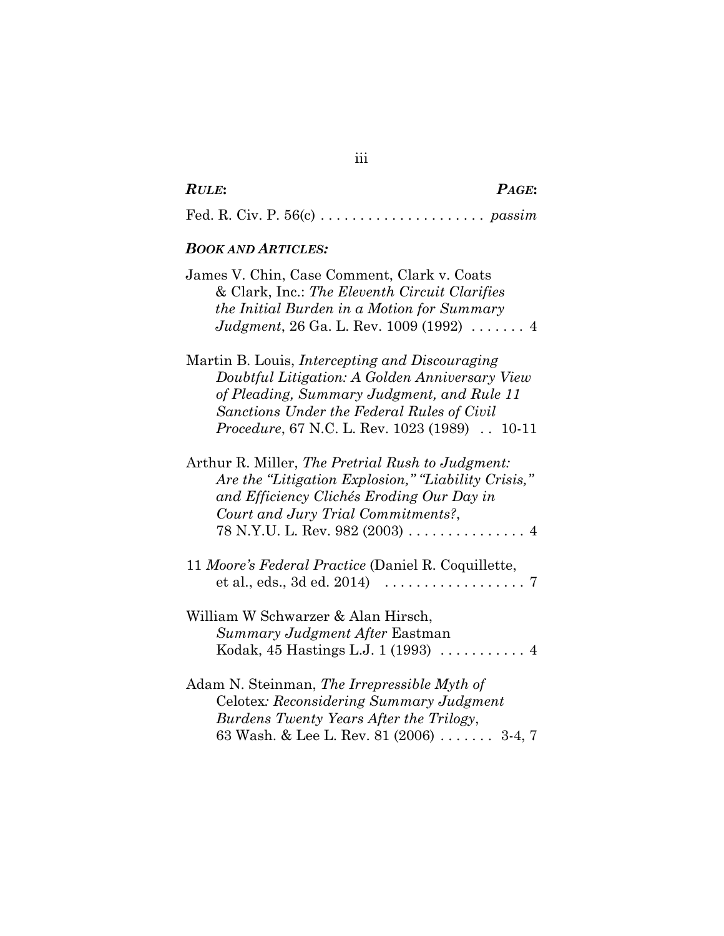|  | ۰,<br>× | i |
|--|---------|---|
|--|---------|---|

| <b>RULE:</b> | PAGE: |
|--------------|-------|
|              |       |

Fed. R. Civ. P. 56(c) . . . . . . . . . . . . . . . . . . . . . *passim*

#### *BOOK AND ARTICLES:*

| James V. Chin, Case Comment, Clark v. Coats       |  |
|---------------------------------------------------|--|
| & Clark, Inc.: The Eleventh Circuit Clarifies     |  |
| the Initial Burden in a Motion for Summary        |  |
| Judgment, 26 Ga. L. Rev. 1009 (1992) $\ldots$ . 4 |  |
|                                                   |  |

Martin B. Louis, *Intercepting and Discouraging Doubtful Litigation: A Golden Anniversary View of Pleading, Summary Judgment, and Rule 11 Sanctions Under the Federal Rules of Civil Procedure*, 67 N.C. L. Rev. 1023 (1989) . . 10-11

Arthur R. Miller, *The Pretrial Rush to Judgment: Are the "Litigation Explosion," "Liability Crisis," and Efficiency Clichés Eroding Our Day in Court and Jury Trial Commitments?*, 78 N.Y.U. L. Rev. 982 (2003) ...............4

11 *Moore's Federal Practice* (Daniel R. Coquillette, et al., eds., 3d ed. 2014) ..................7

William W Schwarzer & Alan Hirsch, *Summary Judgment After* Eastman Kodak, 45 Hastings L.J. 1 (1993) ...........4

Adam N. Steinman, *The Irrepressible Myth of* Celotex*: Reconsidering Summary Judgment Burdens Twenty Years After the Trilogy*, 63 Wash. & Lee L. Rev. 81 (2006) . . . . . . . 3-4, 7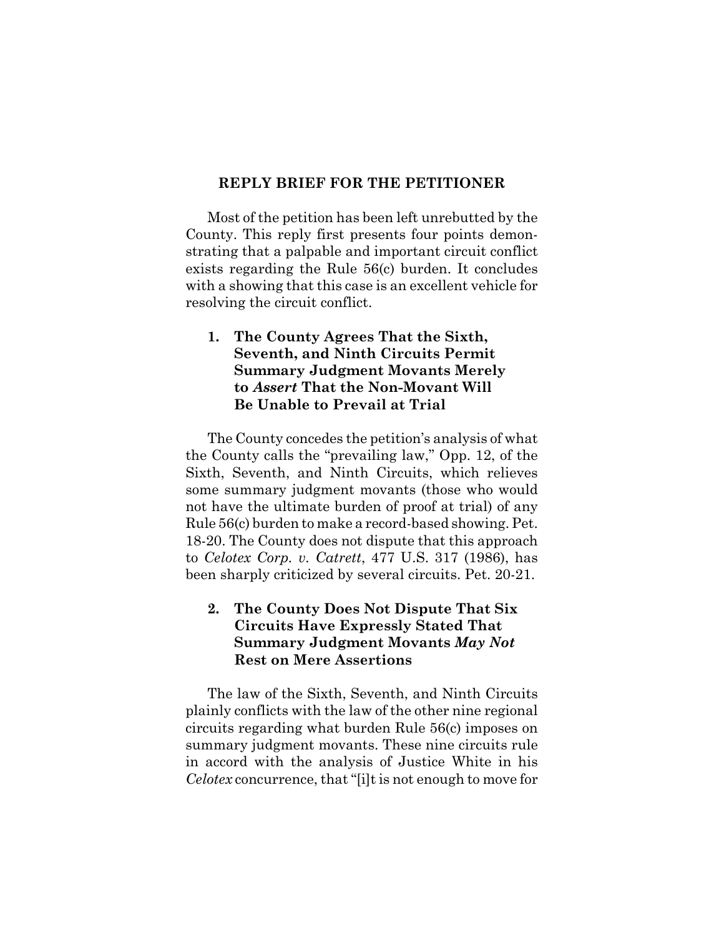#### **REPLY BRIEF FOR THE PETITIONER**

Most of the petition has been left unrebutted by the County. This reply first presents four points demonstrating that a palpable and important circuit conflict exists regarding the Rule 56(c) burden. It concludes with a showing that this case is an excellent vehicle for resolving the circuit conflict.

#### **1. The County Agrees That the Sixth, Seventh, and Ninth Circuits Permit Summary Judgment Movants Merely to** *Assert* **That the Non-Movant Will Be Unable to Prevail at Trial**

The County concedes the petition's analysis of what the County calls the "prevailing law," Opp. 12, of the Sixth, Seventh, and Ninth Circuits, which relieves some summary judgment movants (those who would not have the ultimate burden of proof at trial) of any Rule 56(c) burden to make a record-based showing. Pet. 18-20. The County does not dispute that this approach to *Celotex Corp. v. Catrett*, 477 U.S. 317 (1986), has been sharply criticized by several circuits. Pet. 20-21.

### **2. The County Does Not Dispute That Six Circuits Have Expressly Stated That Summary Judgment Movants** *May Not* **Rest on Mere Assertions**

The law of the Sixth, Seventh, and Ninth Circuits plainly conflicts with the law of the other nine regional circuits regarding what burden Rule 56(c) imposes on summary judgment movants. These nine circuits rule in accord with the analysis of Justice White in his *Celotex* concurrence, that "[i]t is not enough to move for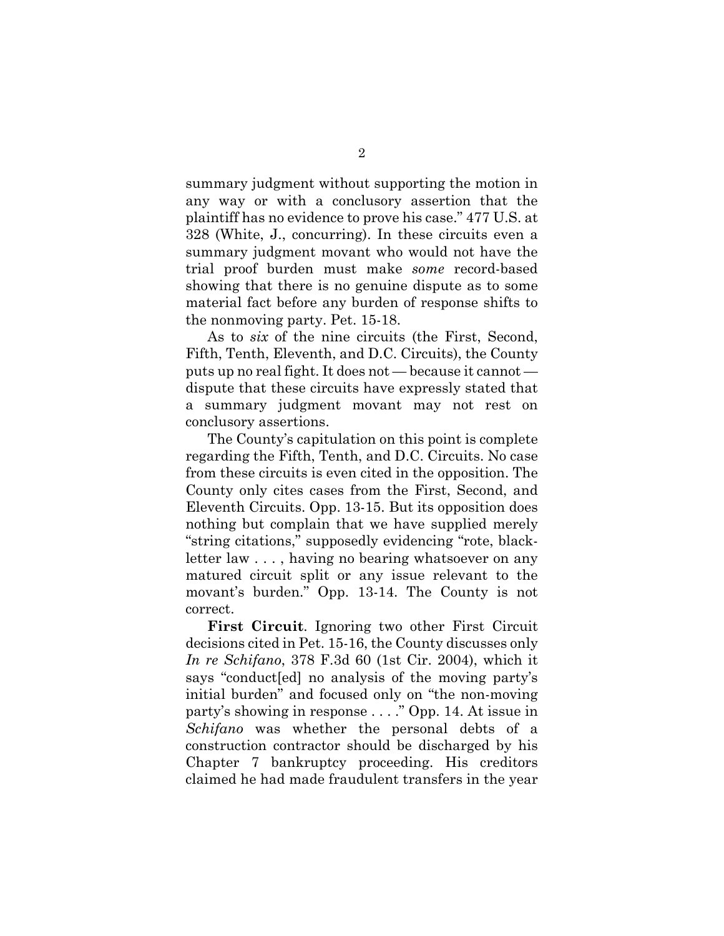summary judgment without supporting the motion in any way or with a conclusory assertion that the plaintiff has no evidence to prove his case." 477 U.S. at 328 (White, J., concurring). In these circuits even a summary judgment movant who would not have the trial proof burden must make *some* record-based showing that there is no genuine dispute as to some material fact before any burden of response shifts to the nonmoving party. Pet. 15-18.

As to *six* of the nine circuits (the First, Second, Fifth, Tenth, Eleventh, and D.C. Circuits), the County puts up no real fight. It does not — because it cannot dispute that these circuits have expressly stated that a summary judgment movant may not rest on conclusory assertions.

The County's capitulation on this point is complete regarding the Fifth, Tenth, and D.C. Circuits. No case from these circuits is even cited in the opposition. The County only cites cases from the First, Second, and Eleventh Circuits. Opp. 13-15. But its opposition does nothing but complain that we have supplied merely "string citations," supposedly evidencing "rote, blackletter law . . . , having no bearing whatsoever on any matured circuit split or any issue relevant to the movant's burden." Opp. 13-14. The County is not correct.

**First Circuit**. Ignoring two other First Circuit decisions cited in Pet. 15-16, the County discusses only *In re Schifano*, 378 F.3d 60 (1st Cir. 2004), which it says "conduct[ed] no analysis of the moving party's initial burden" and focused only on "the non-moving party's showing in response . . . ." Opp. 14. At issue in *Schifano* was whether the personal debts of a construction contractor should be discharged by his Chapter 7 bankruptcy proceeding. His creditors claimed he had made fraudulent transfers in the year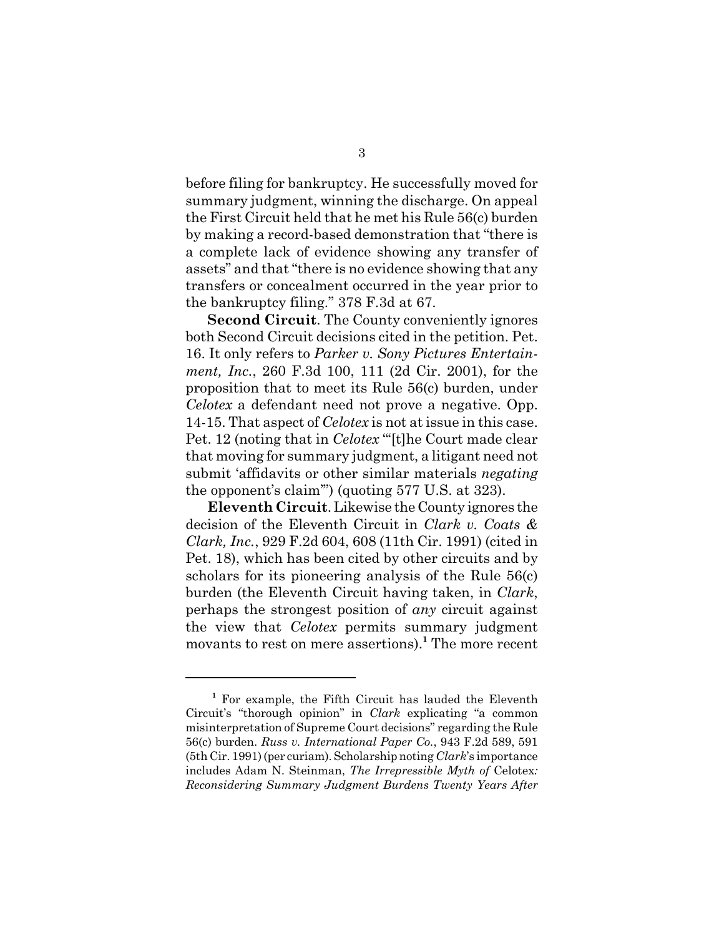before filing for bankruptcy. He successfully moved for summary judgment, winning the discharge. On appeal the First Circuit held that he met his Rule 56(c) burden by making a record-based demonstration that "there is a complete lack of evidence showing any transfer of assets" and that "there is no evidence showing that any transfers or concealment occurred in the year prior to the bankruptcy filing." 378 F.3d at 67.

**Second Circuit**. The County conveniently ignores both Second Circuit decisions cited in the petition. Pet. 16. It only refers to *Parker v. Sony Pictures Entertainment, Inc.*, 260 F.3d 100, 111 (2d Cir. 2001), for the proposition that to meet its Rule 56(c) burden, under *Celotex* a defendant need not prove a negative. Opp. 14-15. That aspect of *Celotex* is not at issue in this case. Pet. 12 (noting that in *Celotex* "[t]he Court made clear that moving for summary judgment, a litigant need not submit 'affidavits or other similar materials *negating* the opponent's claim'") (quoting 577 U.S. at 323).

**Eleventh Circuit**. Likewise the County ignores the decision of the Eleventh Circuit in *Clark v. Coats & Clark, Inc.*, 929 F.2d 604, 608 (11th Cir. 1991) (cited in Pet. 18), which has been cited by other circuits and by scholars for its pioneering analysis of the Rule 56(c) burden (the Eleventh Circuit having taken, in *Clark*, perhaps the strongest position of *any* circuit against the view that *Celotex* permits summary judgment movants to rest on mere assertions).**<sup>1</sup>** The more recent

**<sup>1</sup>** For example, the Fifth Circuit has lauded the Eleventh Circuit's "thorough opinion" in *Clark* explicating "a common misinterpretation of Supreme Court decisions" regarding the Rule 56(c) burden. *Russ v. International Paper Co.*, 943 F.2d 589, 591 (5th Cir. 1991) (per curiam). Scholarship noting *Clark*'s importance includes Adam N. Steinman, *The Irrepressible Myth of* Celotex*: Reconsidering Summary Judgment Burdens Twenty Years After*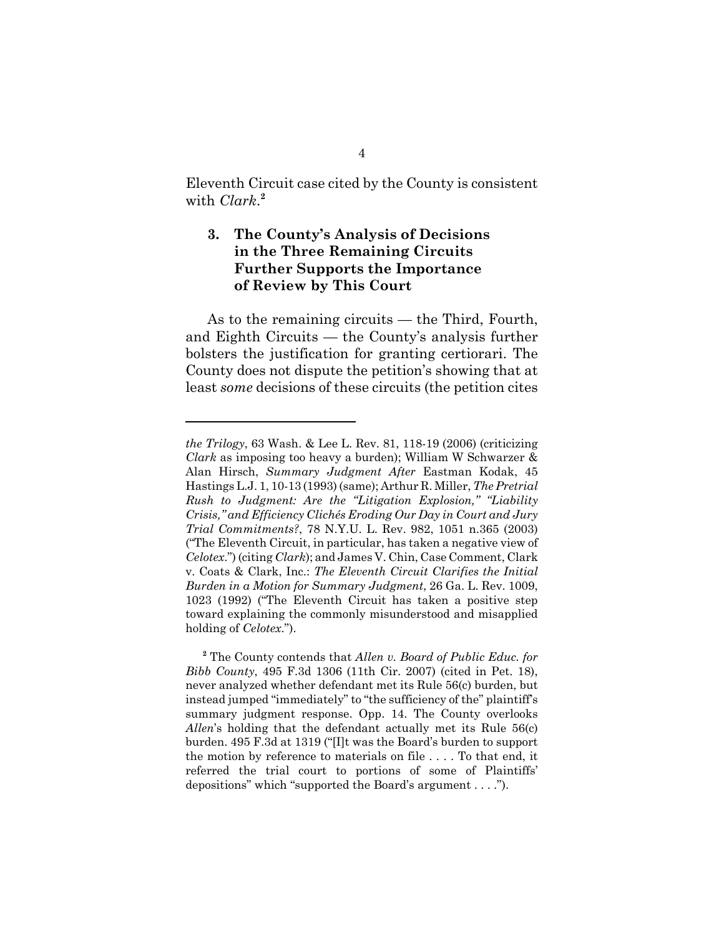Eleventh Circuit case cited by the County is consistent with *Clark*. **2**

#### **3. The County's Analysis of Decisions in the Three Remaining Circuits Further Supports the Importance of Review by This Court**

As to the remaining circuits — the Third, Fourth, and Eighth Circuits — the County's analysis further bolsters the justification for granting certiorari. The County does not dispute the petition's showing that at least *some* decisions of these circuits (the petition cites

*the Trilogy*, 63 Wash. & Lee L. Rev. 81, 118-19 (2006) (criticizing *Clark* as imposing too heavy a burden); William W Schwarzer & Alan Hirsch, *Summary Judgment After* Eastman Kodak, 45 Hastings L.J. 1, 10-13 (1993) (same); Arthur R. Miller, *The Pretrial Rush to Judgment: Are the "Litigation Explosion," "Liability Crisis," and Efficiency Clichés Eroding Our Day in Court and Jury Trial Commitments?*, 78 N.Y.U. L. Rev. 982, 1051 n.365 (2003) ("The Eleventh Circuit, in particular, has taken a negative view of *Celotex*.") (citing *Clark*); and James V. Chin, Case Comment, Clark v. Coats & Clark, Inc.: *The Eleventh Circuit Clarifies the Initial Burden in a Motion for Summary Judgment*, 26 Ga. L. Rev. 1009, 1023 (1992) ("The Eleventh Circuit has taken a positive step toward explaining the commonly misunderstood and misapplied holding of *Celotex*.").

**<sup>2</sup>** The County contends that *Allen v. Board of Public Educ. for Bibb County*, 495 F.3d 1306 (11th Cir. 2007) (cited in Pet. 18), never analyzed whether defendant met its Rule 56(c) burden, but instead jumped "immediately" to "the sufficiency of the" plaintiff's summary judgment response. Opp. 14. The County overlooks *Allen*'s holding that the defendant actually met its Rule 56(c) burden. 495 F.3d at 1319 ("[I]t was the Board's burden to support the motion by reference to materials on file . . . . To that end, it referred the trial court to portions of some of Plaintiffs' depositions" which "supported the Board's argument . . . .").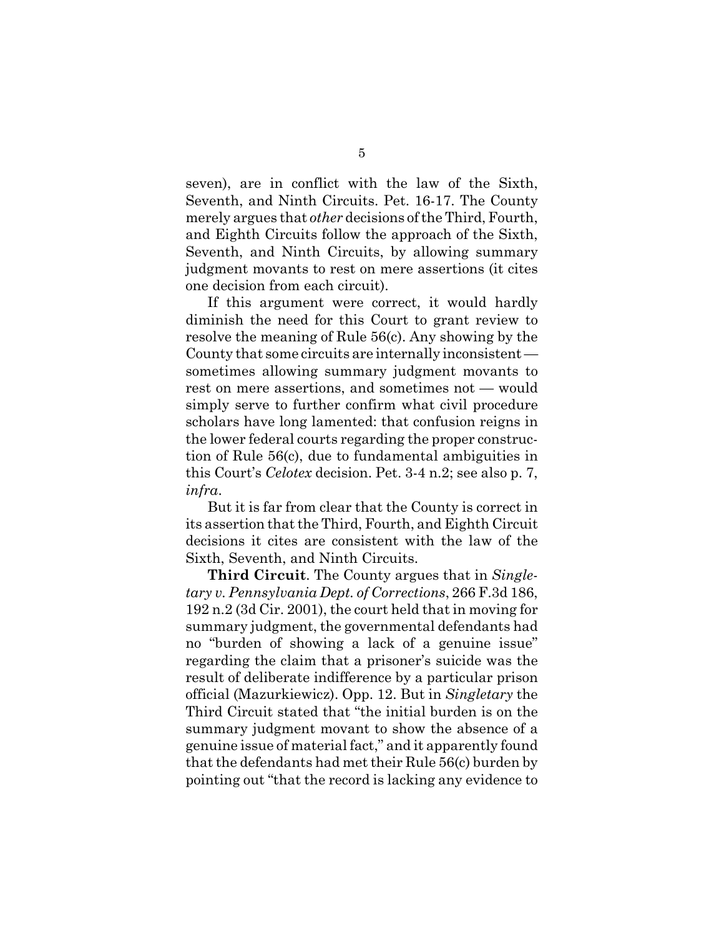seven), are in conflict with the law of the Sixth, Seventh, and Ninth Circuits. Pet. 16-17. The County merely argues that *other* decisions of the Third, Fourth, and Eighth Circuits follow the approach of the Sixth, Seventh, and Ninth Circuits, by allowing summary judgment movants to rest on mere assertions (it cites one decision from each circuit).

If this argument were correct, it would hardly diminish the need for this Court to grant review to resolve the meaning of Rule 56(c). Any showing by the County that some circuits are internally inconsistent sometimes allowing summary judgment movants to rest on mere assertions, and sometimes not — would simply serve to further confirm what civil procedure scholars have long lamented: that confusion reigns in the lower federal courts regarding the proper construction of Rule 56(c), due to fundamental ambiguities in this Court's *Celotex* decision. Pet. 3-4 n.2; see also p. 7, *infra*.

But it is far from clear that the County is correct in its assertion that the Third, Fourth, and Eighth Circuit decisions it cites are consistent with the law of the Sixth, Seventh, and Ninth Circuits.

**Third Circuit**. The County argues that in *Singletary v. Pennsylvania Dept. of Corrections*, 266 F.3d 186, 192 n.2 (3d Cir. 2001), the court held that in moving for summary judgment, the governmental defendants had no "burden of showing a lack of a genuine issue" regarding the claim that a prisoner's suicide was the result of deliberate indifference by a particular prison official (Mazurkiewicz). Opp. 12. But in *Singletary* the Third Circuit stated that "the initial burden is on the summary judgment movant to show the absence of a genuine issue of material fact," and it apparently found that the defendants had met their Rule 56(c) burden by pointing out "that the record is lacking any evidence to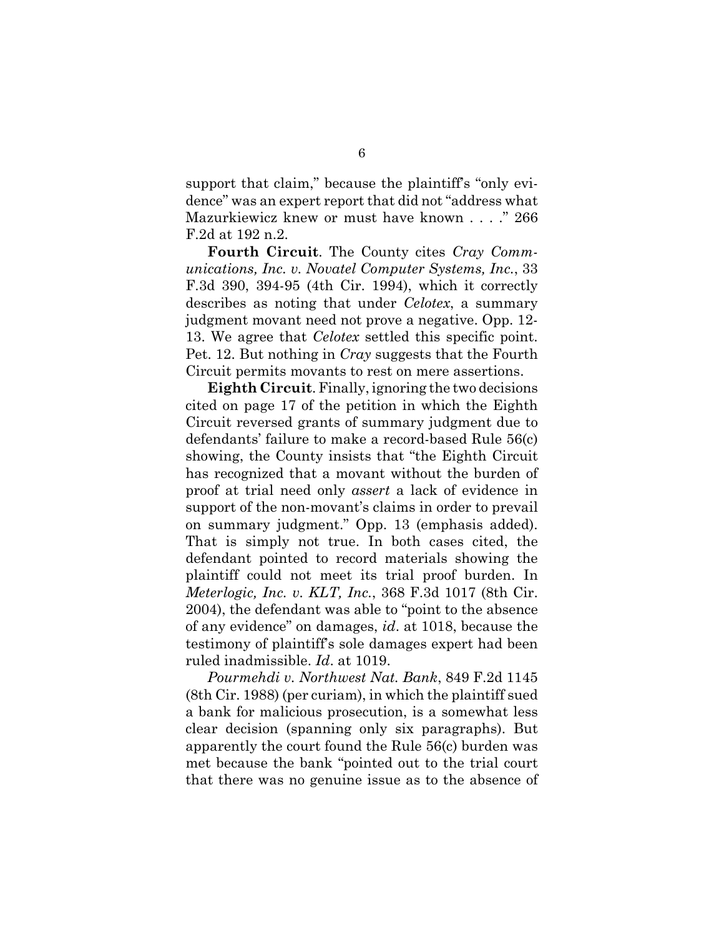support that claim," because the plaintiff's "only evidence" was an expert report that did not "address what Mazurkiewicz knew or must have known . . . ." 266 F.2d at 192 n.2.

**Fourth Circuit**. The County cites *Cray Communications, Inc. v. Novatel Computer Systems, Inc.*, 33 F.3d 390, 394-95 (4th Cir. 1994), which it correctly describes as noting that under *Celotex*, a summary judgment movant need not prove a negative. Opp. 12- 13. We agree that *Celotex* settled this specific point. Pet. 12. But nothing in *Cray* suggests that the Fourth Circuit permits movants to rest on mere assertions.

**Eighth Circuit**. Finally, ignoring the two decisions cited on page 17 of the petition in which the Eighth Circuit reversed grants of summary judgment due to defendants' failure to make a record-based Rule 56(c) showing, the County insists that "the Eighth Circuit has recognized that a movant without the burden of proof at trial need only *assert* a lack of evidence in support of the non-movant's claims in order to prevail on summary judgment." Opp. 13 (emphasis added). That is simply not true. In both cases cited, the defendant pointed to record materials showing the plaintiff could not meet its trial proof burden. In *Meterlogic, Inc. v. KLT, Inc.*, 368 F.3d 1017 (8th Cir. 2004), the defendant was able to "point to the absence of any evidence" on damages, *id*. at 1018, because the testimony of plaintiff's sole damages expert had been ruled inadmissible. *Id*. at 1019.

*Pourmehdi v. Northwest Nat. Bank*, 849 F.2d 1145 (8th Cir. 1988) (per curiam), in which the plaintiff sued a bank for malicious prosecution, is a somewhat less clear decision (spanning only six paragraphs). But apparently the court found the Rule 56(c) burden was met because the bank "pointed out to the trial court that there was no genuine issue as to the absence of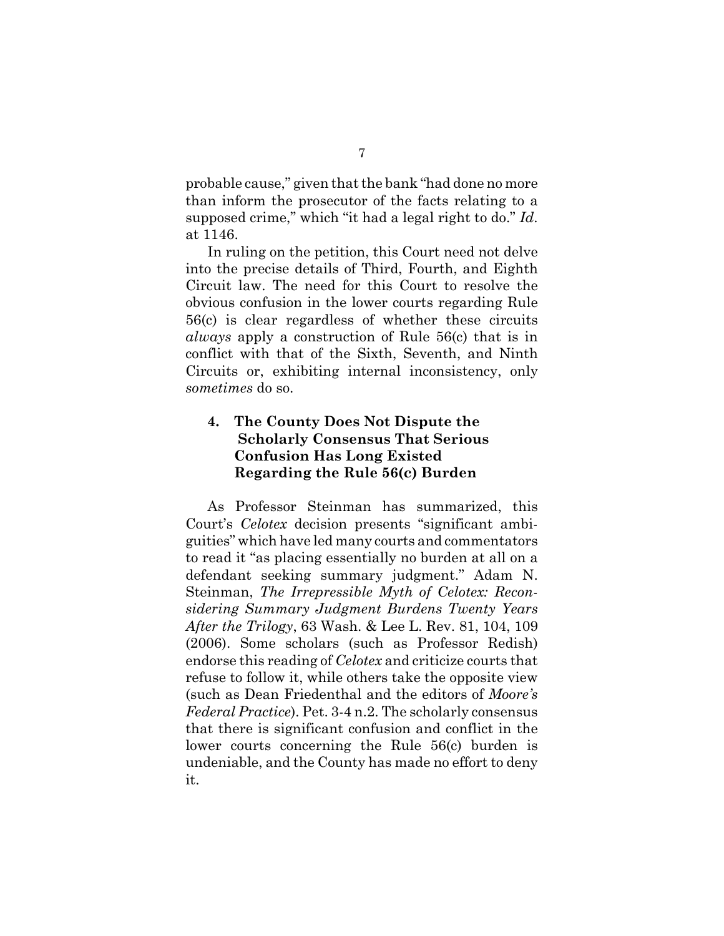probable cause," given that the bank "had done no more than inform the prosecutor of the facts relating to a supposed crime," which "it had a legal right to do." *Id*. at 1146.

In ruling on the petition, this Court need not delve into the precise details of Third, Fourth, and Eighth Circuit law. The need for this Court to resolve the obvious confusion in the lower courts regarding Rule 56(c) is clear regardless of whether these circuits *always* apply a construction of Rule 56(c) that is in conflict with that of the Sixth, Seventh, and Ninth Circuits or, exhibiting internal inconsistency, only *sometimes* do so.

#### **4. The County Does Not Dispute the Scholarly Consensus That Serious Confusion Has Long Existed Regarding the Rule 56(c) Burden**

As Professor Steinman has summarized, this Court's *Celotex* decision presents "significant ambiguities" which have led many courts and commentators to read it "as placing essentially no burden at all on a defendant seeking summary judgment." Adam N. Steinman, *The Irrepressible Myth of Celotex: Reconsidering Summary Judgment Burdens Twenty Years After the Trilogy*, 63 Wash. & Lee L. Rev. 81, 104, 109 (2006). Some scholars (such as Professor Redish) endorse this reading of *Celotex* and criticize courts that refuse to follow it, while others take the opposite view (such as Dean Friedenthal and the editors of *Moore's Federal Practice*). Pet. 3-4 n.2. The scholarly consensus that there is significant confusion and conflict in the lower courts concerning the Rule 56(c) burden is undeniable, and the County has made no effort to deny it.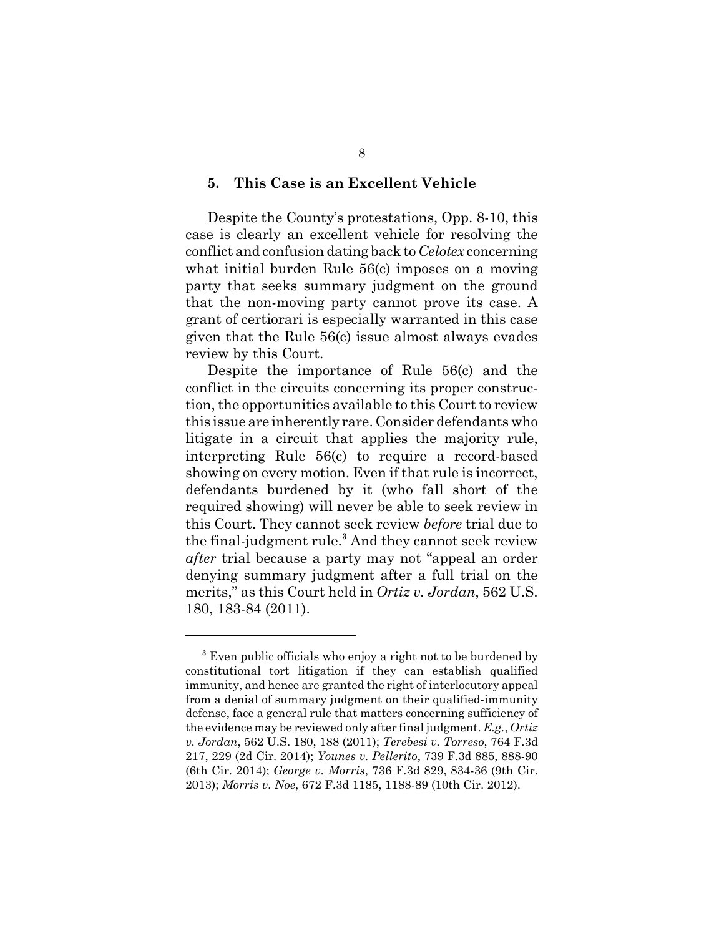#### **5. This Case is an Excellent Vehicle**

Despite the County's protestations, Opp. 8-10, this case is clearly an excellent vehicle for resolving the conflict and confusion dating back to *Celotex* concerning what initial burden Rule 56(c) imposes on a moving party that seeks summary judgment on the ground that the non-moving party cannot prove its case. A grant of certiorari is especially warranted in this case given that the Rule 56(c) issue almost always evades review by this Court.

Despite the importance of Rule 56(c) and the conflict in the circuits concerning its proper construction, the opportunities available to this Court to review this issue are inherently rare. Consider defendants who litigate in a circuit that applies the majority rule, interpreting Rule 56(c) to require a record-based showing on every motion. Even if that rule is incorrect, defendants burdened by it (who fall short of the required showing) will never be able to seek review in this Court. They cannot seek review *before* trial due to the final-judgment rule.**<sup>3</sup>** And they cannot seek review *after* trial because a party may not "appeal an order denying summary judgment after a full trial on the merits," as this Court held in *Ortiz v. Jordan*, 562 U.S. 180, 183-84 (2011).

<sup>&</sup>lt;sup>3</sup> Even public officials who enjoy a right not to be burdened by constitutional tort litigation if they can establish qualified immunity, and hence are granted the right of interlocutory appeal from a denial of summary judgment on their qualified-immunity defense, face a general rule that matters concerning sufficiency of the evidence may be reviewed only after final judgment. *E.g.*, *Ortiz v. Jordan*, 562 U.S. 180, 188 (2011); *Terebesi v. Torreso*, 764 F.3d 217, 229 (2d Cir. 2014); *Younes v. Pellerito*, 739 F.3d 885, 888-90 (6th Cir. 2014); *George v. Morris*, 736 F.3d 829, 834-36 (9th Cir. 2013); *Morris v. Noe*, 672 F.3d 1185, 1188-89 (10th Cir. 2012).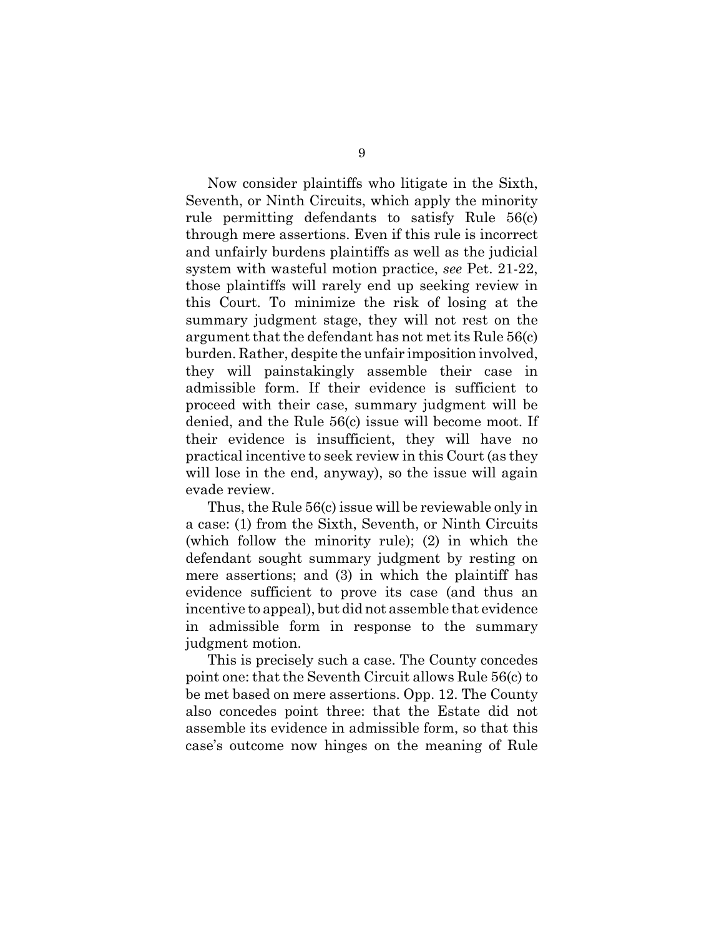Now consider plaintiffs who litigate in the Sixth, Seventh, or Ninth Circuits, which apply the minority rule permitting defendants to satisfy Rule 56(c) through mere assertions. Even if this rule is incorrect and unfairly burdens plaintiffs as well as the judicial system with wasteful motion practice, *see* Pet. 21-22, those plaintiffs will rarely end up seeking review in this Court. To minimize the risk of losing at the summary judgment stage, they will not rest on the argument that the defendant has not met its Rule 56(c) burden. Rather, despite the unfair imposition involved, they will painstakingly assemble their case in admissible form. If their evidence is sufficient to proceed with their case, summary judgment will be denied, and the Rule 56(c) issue will become moot. If their evidence is insufficient, they will have no practical incentive to seek review in this Court (as they will lose in the end, anyway), so the issue will again evade review.

Thus, the Rule 56(c) issue will be reviewable only in a case: (1) from the Sixth, Seventh, or Ninth Circuits (which follow the minority rule); (2) in which the defendant sought summary judgment by resting on mere assertions; and (3) in which the plaintiff has evidence sufficient to prove its case (and thus an incentive to appeal), but did not assemble that evidence in admissible form in response to the summary judgment motion.

This is precisely such a case. The County concedes point one: that the Seventh Circuit allows Rule 56(c) to be met based on mere assertions. Opp. 12. The County also concedes point three: that the Estate did not assemble its evidence in admissible form, so that this case's outcome now hinges on the meaning of Rule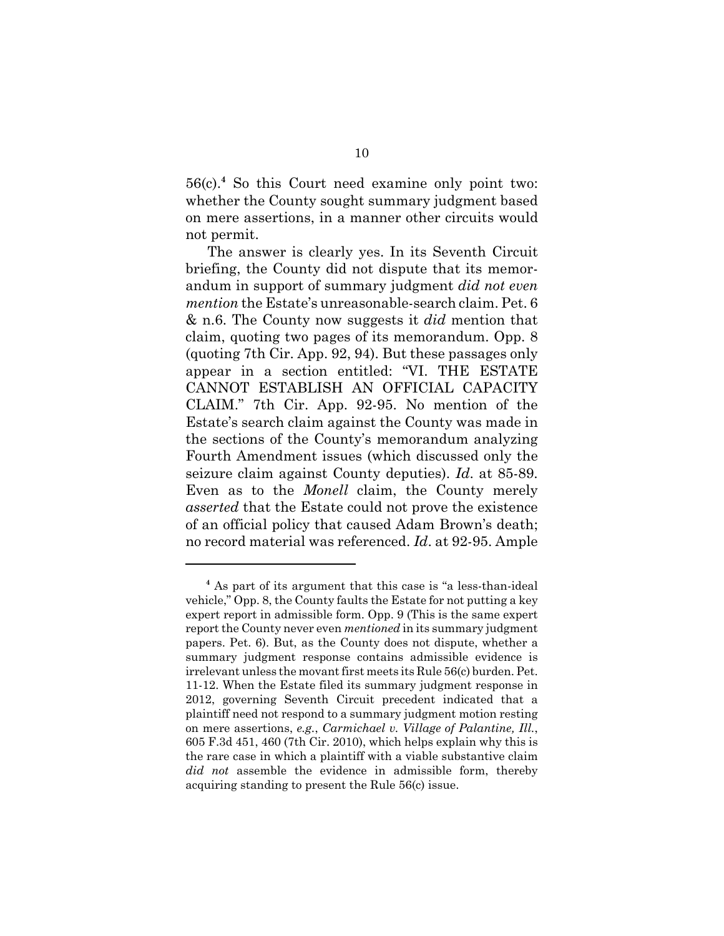56(c).**<sup>4</sup>** So this Court need examine only point two: whether the County sought summary judgment based on mere assertions, in a manner other circuits would not permit.

The answer is clearly yes. In its Seventh Circuit briefing, the County did not dispute that its memorandum in support of summary judgment *did not even mention* the Estate's unreasonable-search claim. Pet. 6 & n.6. The County now suggests it *did* mention that claim, quoting two pages of its memorandum. Opp. 8 (quoting 7th Cir. App. 92, 94). But these passages only appear in a section entitled: "VI. THE ESTATE CANNOT ESTABLISH AN OFFICIAL CAPACITY CLAIM." 7th Cir. App. 92-95. No mention of the Estate's search claim against the County was made in the sections of the County's memorandum analyzing Fourth Amendment issues (which discussed only the seizure claim against County deputies). *Id*. at 85-89. Even as to the *Monell* claim, the County merely *asserted* that the Estate could not prove the existence of an official policy that caused Adam Brown's death; no record material was referenced. *Id*. at 92-95. Ample

**<sup>4</sup>** As part of its argument that this case is "a less-than-ideal vehicle," Opp. 8, the County faults the Estate for not putting a key expert report in admissible form. Opp. 9 (This is the same expert report the County never even *mentioned* in its summary judgment papers. Pet. 6). But, as the County does not dispute, whether a summary judgment response contains admissible evidence is irrelevant unless the movant first meets its Rule 56(c) burden. Pet. 11-12. When the Estate filed its summary judgment response in 2012, governing Seventh Circuit precedent indicated that a plaintiff need not respond to a summary judgment motion resting on mere assertions, *e.g.*, *Carmichael v. Village of Palantine, Ill.*, 605 F.3d 451, 460 (7th Cir. 2010), which helps explain why this is the rare case in which a plaintiff with a viable substantive claim *did not* assemble the evidence in admissible form, thereby acquiring standing to present the Rule 56(c) issue.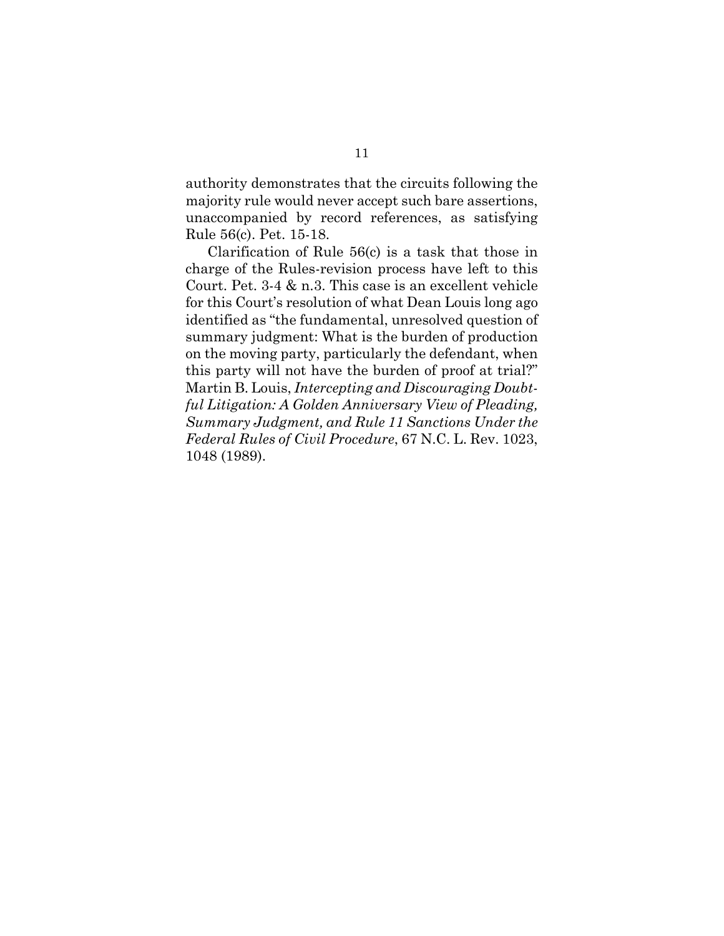authority demonstrates that the circuits following the majority rule would never accept such bare assertions, unaccompanied by record references, as satisfying Rule 56(c). Pet. 15-18.

Clarification of Rule 56(c) is a task that those in charge of the Rules-revision process have left to this Court. Pet. 3-4 & n.3. This case is an excellent vehicle for this Court's resolution of what Dean Louis long ago identified as "the fundamental, unresolved question of summary judgment: What is the burden of production on the moving party, particularly the defendant, when this party will not have the burden of proof at trial?" Martin B. Louis, *Intercepting and Discouraging Doubtful Litigation: A Golden Anniversary View of Pleading, Summary Judgment, and Rule 11 Sanctions Under the Federal Rules of Civil Procedure*, 67 N.C. L. Rev. 1023, 1048 (1989).